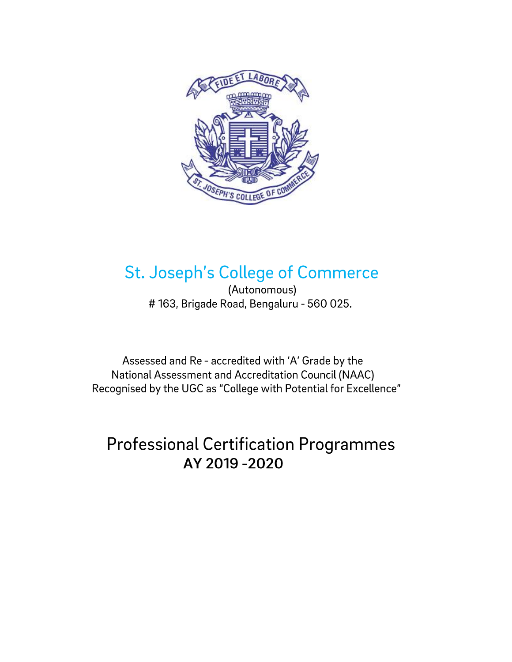

## **St. Joseph's College of Commerce**

(Autonomous) #163, Brigade Road, Bengaluru - 560 025.

Assessed and Re - accredited with 'A' Grade by the National Assessment and Accreditation Council (NAAC) Recognised by the UGC as "College with Potential for Excellence"

## **Professional Certification Programmes** AY 2019 -2020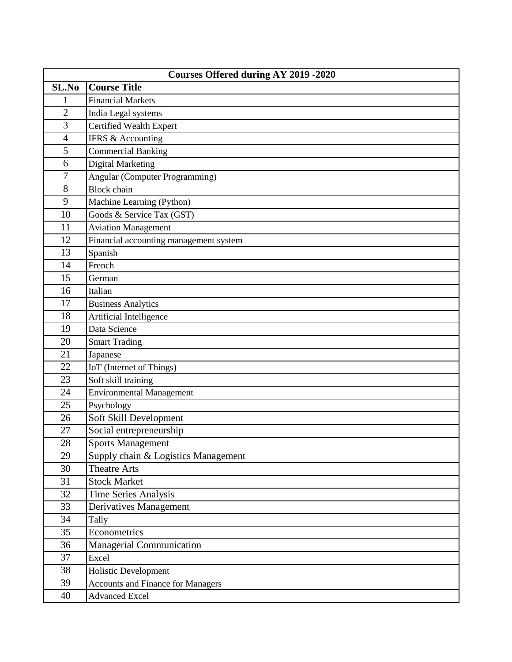| Courses Offered during AY 2019 -2020 |                                          |  |
|--------------------------------------|------------------------------------------|--|
| SL.No                                | <b>Course Title</b>                      |  |
| 1                                    | <b>Financial Markets</b>                 |  |
| $\overline{2}$                       | India Legal systems                      |  |
| 3                                    | Certified Wealth Expert                  |  |
| $\overline{4}$                       | IFRS & Accounting                        |  |
| 5                                    | <b>Commercial Banking</b>                |  |
| 6                                    | Digital Marketing                        |  |
| 7                                    | Angular (Computer Programming)           |  |
| 8                                    | <b>Block</b> chain                       |  |
| 9                                    | Machine Learning (Python)                |  |
| 10                                   | Goods & Service Tax (GST)                |  |
| 11                                   | <b>Aviation Management</b>               |  |
| 12                                   | Financial accounting management system   |  |
| 13                                   | Spanish                                  |  |
| 14                                   | French                                   |  |
| 15                                   | German                                   |  |
| 16                                   | Italian                                  |  |
| 17                                   | <b>Business Analytics</b>                |  |
| 18                                   | Artificial Intelligence                  |  |
| 19                                   | Data Science                             |  |
| 20                                   | <b>Smart Trading</b>                     |  |
| 21                                   | Japanese                                 |  |
| 22                                   | IoT (Internet of Things)                 |  |
| 23                                   | Soft skill training                      |  |
| 24                                   | <b>Environmental Management</b>          |  |
| 25                                   | Psychology                               |  |
| 26                                   | Soft Skill Development                   |  |
| 27                                   | Social entrepreneurship                  |  |
| 28                                   | Sports Management                        |  |
| 29                                   | Supply chain & Logistics Management      |  |
| 30                                   | <b>Theatre Arts</b>                      |  |
| 31                                   | <b>Stock Market</b>                      |  |
| 32                                   | <b>Time Series Analysis</b>              |  |
| 33                                   | Derivatives Management                   |  |
| 34                                   | Tally                                    |  |
| 35                                   | Econometrics                             |  |
| 36                                   | <b>Managerial Communication</b>          |  |
| 37                                   | Excel                                    |  |
| 38                                   | Holistic Development                     |  |
| 39                                   | <b>Accounts and Finance for Managers</b> |  |
| 40                                   | <b>Advanced Excel</b>                    |  |